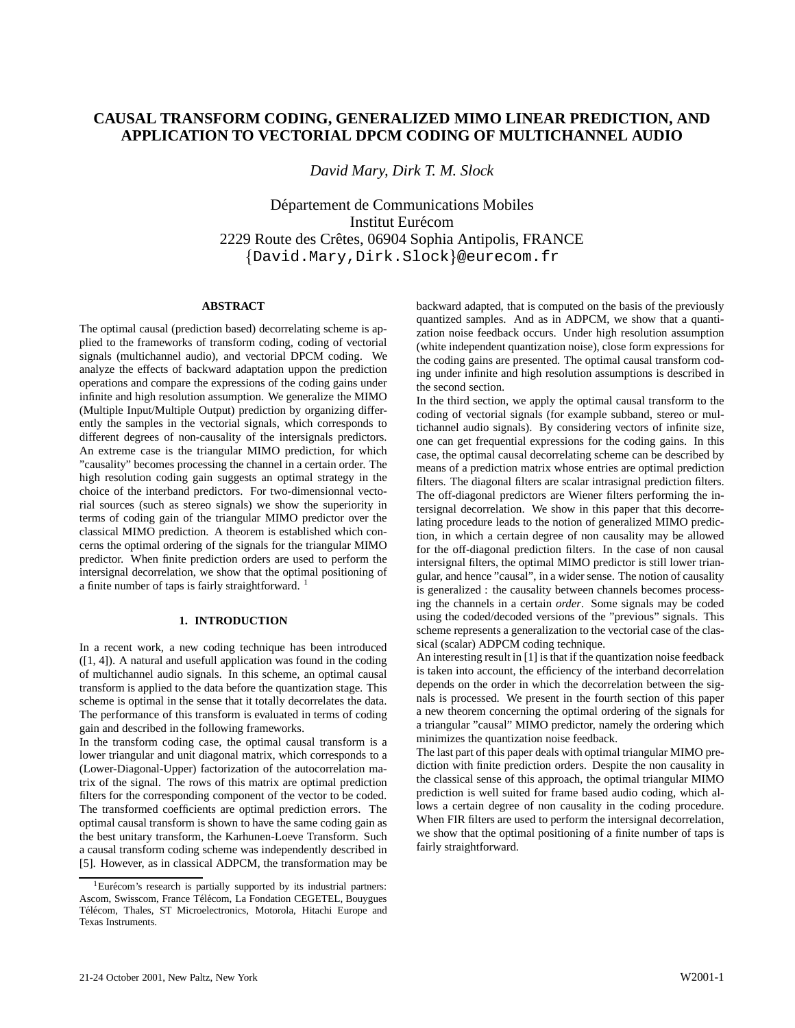# **CAUSAL TRANSFORM CODING, GENERALIZED MIMO LINEAR PREDICTION, AND APPLICATION TO VECTORIAL DPCM CODING OF MULTICHANNEL AUDIO**

*David Mary, Dirk T. M. Slock*

Département de Communications Mobiles Institut Eurécom 2229 Route des Crêtes, 06904 Sophia Antipolis, FRANCE {David.Mary,Dirk.Slock}@eurecom.fr

## **ABSTRACT**

The optimal causal (prediction based) decorrelating scheme is applied to the frameworks of transform coding, coding of vectorial signals (multichannel audio), and vectorial DPCM coding. We analyze the effects of backward adaptation uppon the prediction operations and compare the expressions of the coding gains under infinite and high resolution assumption. We generalize the MIMO (Multiple Input/Multiple Output) prediction by organizing differently the samples in the vectorial signals, which corresponds to different degrees of non-causality of the intersignals predictors. An extreme case is the triangular MIMO prediction, for which "causality" becomes processing the channel in a certain order. The high resolution coding gain suggests an optimal strategy in the choice of the interband predictors. For two-dimensionnal vectorial sources (such as stereo signals) we show the superiority in terms of coding gain of the triangular MIMO predictor over the classical MIMO prediction. A theorem is established which concerns the optimal ordering of the signals for the triangular MIMO predictor. When finite prediction orders are used to perform the intersignal decorrelation, we show that the optimal positioning of a finite number of taps is fairly straightforward.  $1$ 

# **1. INTRODUCTION**

In a recent work, a new coding technique has been introduced  $([1, 4])$ . A natural and usefull application was found in the coding of multichannel audio signals. In this scheme, an optimal causal transform is applied to the data before the quantization stage. This scheme is optimal in the sense that it totally decorrelates the data. The performance of this transform is evaluated in terms of coding gain and described in the following frameworks.

In the transform coding case, the optimal causal transform is a lower triangular and unit diagonal matrix, which corresponds to a (Lower-Diagonal-Upper) factorization of the autocorrelation matrix of the signal. The rows of this matrix are optimal prediction filters for the corresponding component of the vector to be coded. The transformed coefficients are optimal prediction errors. The optimal causal transform is shown to have the same coding gain as the best unitary transform, the Karhunen-Loeve Transform. Such a causal transform coding scheme was independently described in [5]. However, as in classical ADPCM, the transformation may be

backward adapted, that is computed on the basis of the previously quantized samples. And as in ADPCM, we show that a quantization noise feedback occurs. Under high resolution assumption (white independent quantization noise), close form expressions for the coding gains are presented. The optimal causal transform coding under infinite and high resolution assumptions is described in the second section.

In the third section, we apply the optimal causal transform to the coding of vectorial signals (for example subband, stereo or multichannel audio signals). By considering vectors of infinite size, one can get frequential expressions for the coding gains. In this case, the optimal causal decorrelating scheme can be described by means of a prediction matrix whose entries are optimal prediction filters. The diagonal filters are scalar intrasignal prediction filters. The off-diagonal predictors are Wiener filters performing the intersignal decorrelation. We show in this paper that this decorrelating procedure leads to the notion of generalized MIMO prediction, in which a certain degree of non causality may be allowed for the off-diagonal prediction filters. In the case of non causal intersignal filters, the optimal MIMO predictor is still lower triangular, and hence "causal", in a wider sense. The notion of causality is generalized : the causality between channels becomes processing the channels in a certain *order*. Some signals may be coded using the coded/decoded versions of the "previous" signals. This scheme represents a generalization to the vectorial case of the classical (scalar) ADPCM coding technique.

An interesting result in [1] is that if the quantization noise feedback is taken into account, the efficiency of the interband decorrelation depends on the order in which the decorrelation between the signals is processed. We present in the fourth section of this paper a new theorem concerning the optimal ordering of the signals for a triangular "causal" MIMO predictor, namely the ordering which minimizes the quantization noise feedback.

The last part of this paper deals with optimal triangular MIMO prediction with finite prediction orders. Despite the non causality in the classical sense of this approach, the optimal triangular MIMO prediction is well suited for frame based audio coding, which allows a certain degree of non causality in the coding procedure. When FIR filters are used to perform the intersignal decorrelation, we show that the optimal positioning of a finite number of taps is fairly straightforward.

 $1$ Eurécom's research is partially supported by its industrial partners: Ascom, Swisscom, France Télécom, La Fondation CEGETEL, Bouygues Télécom, Thales, ST Microelectronics, Motorola, Hitachi Europe and Texas Instruments.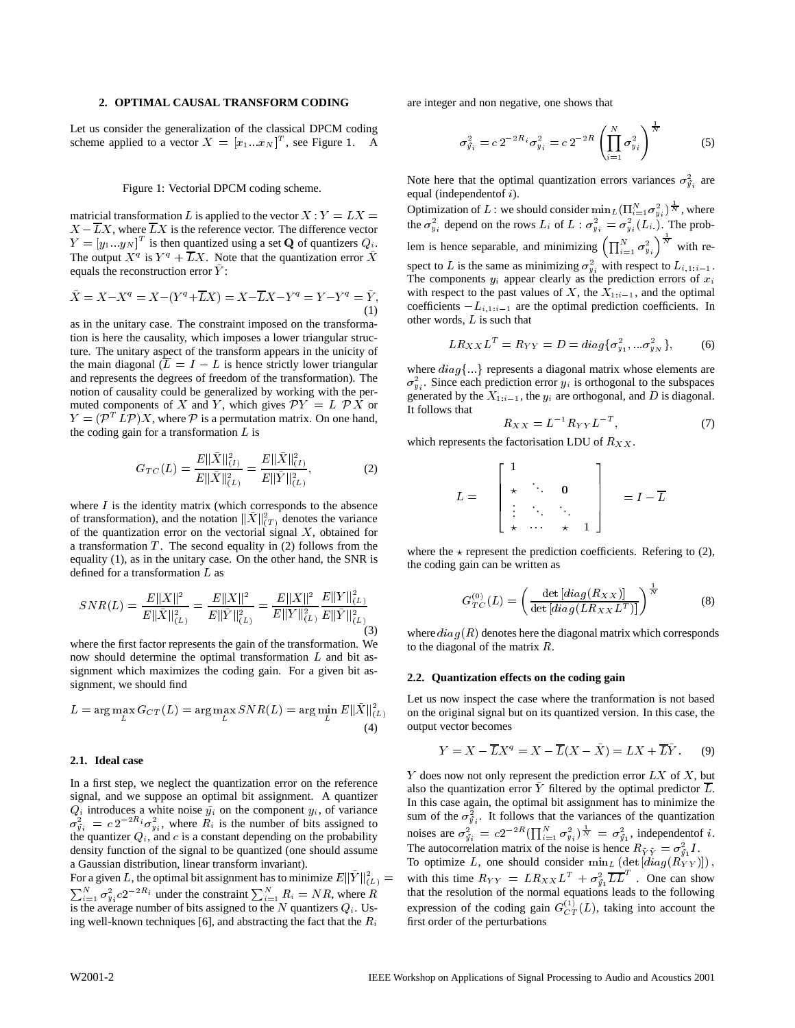#### **2. OPTIMAL CAUSAL TRANSFORM CODING**

Let us consider the generalization of the classical DPCM coding scheme applied to a vector  $X = [x_1...x_N]^T$ , see Figure 1. A

#### Figure 1: Vectorial DPCM coding scheme.

matricial transformation L is applied to the vector  $X: Y = LX =$  $X - \overline{L}X$ , where  $\overline{L}X$  is the reference vector. The difference vector  $Y = [y_1 \dots y_N]^T$  is then quantized using a set **Q** of quantizers  $Q_i$ . The output  $X^q$  is  $Y^q + LX$ . Note that the quantization error X equals the reconstruction error  $\tilde{Y}$ :

$$
\tilde{X} = X - X^{q} = X - (Y^{q} + \overline{L}X) = X - \overline{L}X - Y^{q} = Y - Y^{q} = \tilde{Y},
$$
\n(1)

as in the unitary case. The constraint imposed on the transformation is here the causality, which imposes a lower triangular structure. The unitary aspect of the transform appears in the unicity of the main diagonal  $(\overline{L} = I - L)$  is hence strictly lower triangular and represents the degrees of freedom of the transformation). The notion of causality could be generalized by working with the permuted components of X and Y, which gives  $\mathcal{P}Y = L \mathcal{P}X$  or  $Y = (\mathcal{P}^{T} L \mathcal{P})X$ , where  $\mathcal P$  is a permutation matrix. On one hand, the coding gain for a transformation  $L$  is

$$
G_{TC}(L) = \frac{E\|\tilde{X}\|_{(I)}^2}{E\|\tilde{X}\|_{(L)}^2} = \frac{E\|\tilde{X}\|_{(I)}^2}{E\|\tilde{Y}\|_{(L)}^2},\tag{2}
$$

where  $I$  is the identity matrix (which corresponds to the absence of transformation), and the notation  $||X||_{(T)}^2$  denotes the variance of the quantization error on the vectorial signal  $X$ , obtained for a transformation  $T$ . The second equality in (2) follows from the equality (1), as in the unitary case. On the other hand, the SNR is defined for a transformation <sup>L</sup> as

$$
SNR(L) = \frac{E\|X\|^2}{E\|\tilde{X}\|_{(L)}^2} = \frac{E\|X\|^2}{E\|\tilde{Y}\|_{(L)}^2} = \frac{E\|X\|^2}{E\|Y\|_{(L)}^2} \frac{E\|Y\|_{(L)}^2}{E\|\tilde{Y}\|_{(L)}^2}
$$
(3)

where the first factor represents the gain of the transformation. We now should determine the optimal transformation <sup>L</sup> and bit assignment which maximizes the coding gain. For a given bit assignment, we should find

$$
L = \arg\max_{L} G_{CT}(L) = \arg\max_{L} SNR(L) = \arg\min_{L} E\|\bar{X}\|_{(L)}^{2}
$$
 or (4)

## **2.1. Ideal case**

In a first step, we neglect the quantization error on the reference signal, and we suppose an optimal bit assignment. A quantizer  $Q_i$  introduces a white noise  $\tilde{y}_i$  on the component  $y_i$ , of variance  $\sigma_{\tilde{y}_i}^2 = c 2^{-2R_i} \sigma_{y_i}^2$ , where  $R_i$  is the number of bits assigned to the quantizer  $Q_i$ , and c is a constant depending on the probability density function of the signal to be quantized (one should assume a Gaussian distribution, linear transform invariant).

For a given L, the optimal bit assignment has to minimize  $E\|Y\|_{(L)}^2 = -\sqrt{2}$  $\sum_{i=1}^{N} \sigma_{y_i}^2 c 2^{-2R_i}$  under the constraint  $\sum_{i=1}^{N} R_i = NR$ , where R that the is the average number of bits assigned to the N quantizers  $Q_i$ . Using well-known techniques [6], and abstracting the fact that the  $R_i$ 

are integer and non negative, one shows that

$$
\sigma_{\vec{y}_i}^2 = c \, 2^{-2R_i} \sigma_{y_i}^2 = c \, 2^{-2R} \left( \prod_{i=1}^N \sigma_{y_i}^2 \right)^{\frac{1}{N}} \tag{5}
$$

Note here that the optimal quantization errors variances  $\sigma_{\tilde{y}_i}^2$  are equal (independentof <sup>i</sup>).

 $\tilde{Y}$  with respect to the past values of X, the  $X_{1:i-1}$ , and the optimal Optimization of L : we should consider  $\min_{L}(\prod_{i=1}^{N} \sigma_{y_i}^2)^{\frac{1}{N}}$ , where the  $\sigma_{y_i}^2$  depend on the rows  $L_i$  of  $L : \sigma_{y_i}^2 = \sigma_{y_i}^2(L_i)$ . The problem is hence separable, and minimizing  $\left(\prod_{i=1}^{N} \sigma_{y_i}^2\right)^{\bar{N}}$  with respect to L is the same as minimizing  $\sigma_{y_i}^2$  with respect to  $L_{i,1:i-1}$ . The components  $y_i$  appear clearly as the prediction errors of  $x_i$ coefficients  $-L_{i,1:i-1}$  are the optimal prediction coefficients. In other words, <sup>L</sup> is such that

$$
LR_{XX}L^{T} = R_{YY} = D = diag{\sigma_{y_1}^{2},...\sigma_{y_N}^{2}} ,
$$
 (6)

where  $diag\{...\}$  represents a diagonal matrix whose elements are  $\sigma_{y_i}^2$ . Since each prediction error  $y_i$  is orthogonal to the subspaces generated by the  $X_{1:i-1}$ , the  $y_i$  are orthogonal, and D is diagonal. It follows that

$$
R_{XX} = L^{-1} R_{YY} L^{-T}, \t\t(7)
$$

which represents the factorisation LDU of  $R_{XX}$ .

$$
L = \left[\begin{array}{cccc} 1 & & & \\ \star & \ddots & 0 & \\ \vdots & \ddots & \ddots \\ \star & \cdots & \star & 1 \end{array}\right] = I - \overline{L}
$$

where the  $\star$  represent the prediction coefficients. Refering to (2), the coding gain can be written as

$$
G_{TC}^{(0)}(L) = \left(\frac{\det\left[diag(R_{XX})\right]}{\det\left[diag(LR_{XX}L^T)\right]}\right)^{\frac{1}{N}}\tag{8}
$$

where  $diag(R)$  denotes here the diagonal matrix which corresponds to the diagonal of the matrix <sup>R</sup>.

#### **2.2. Quantization effects on the coding gain**

 $\tilde{L}$  on the original signal but on its quantized version. In this case, the Let us now inspect the case where the tranformation is not based output vector becomes

$$
Y = X - \overline{L}X^q = X - \overline{L}(X - \tilde{X}) = LX + \overline{L}\tilde{Y}.
$$
 (9)

 $\zeta_{(L)}^2 =$  with this time  $R_{YY} = LR_{XX}L^T + \sigma_{\tilde{y_1}}^2 \overline{LL}^T$ . One can show Y does now not only represent the prediction error  $LX$  of  $X$ , but also the quantization error  $Y$  filtered by the optimal predictor  $L$ . In this case again, the optimal bit assignment has to minimize the sum of the  $\sigma_{\tilde{y}_i}^2$ . It follows that the variances of the quantization noises are  $\sigma_{\tilde{y}_i}^2 = c2^{-2R} \left( \prod_{i=1}^N \sigma_{y_i}^2 \right) \dot{\overline{x}} = \sigma_{\tilde{y}_1}^2$ , independent of i. The autocorrelation matrix of the noise is hence  $R_{\tilde{Y}\tilde{Y}} = \sigma_{\tilde{y_1}}^2 I$ . To optimize L, one should consider  $\min_{L} (\det [diag(R_{YY})])$ , that the resolution of the normal equations leads to the following expression of the coding gain  $G_{CT}^{(1)}(L)$ , taking into account the first order of the perturbations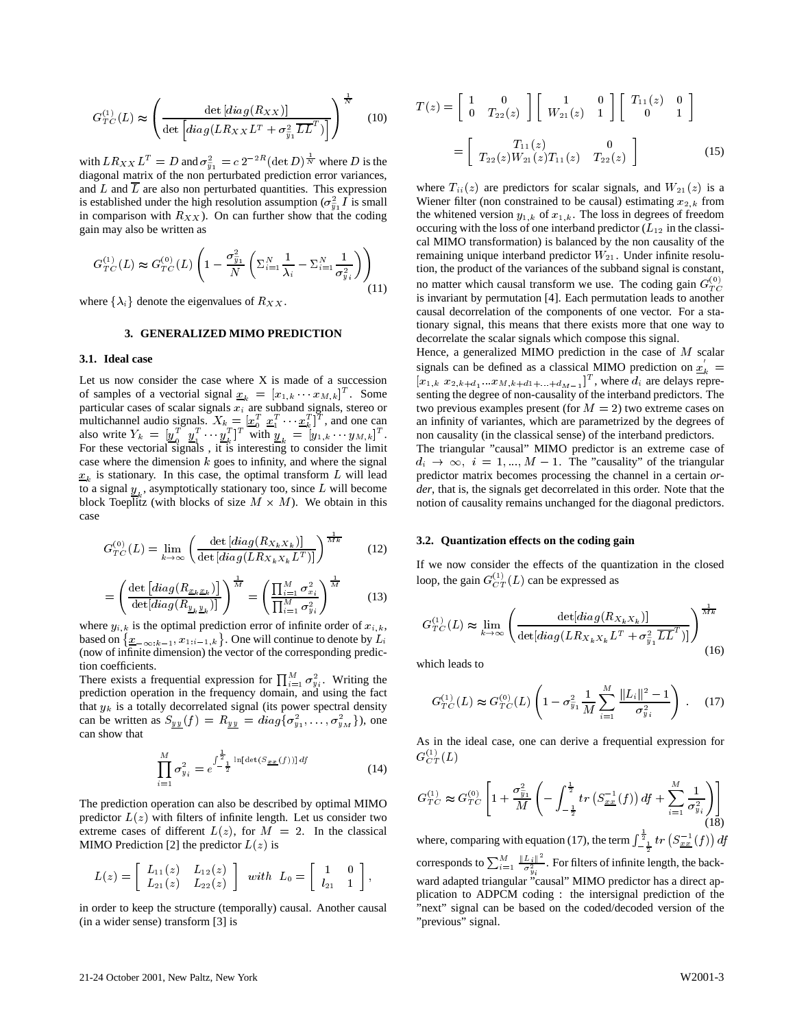$$
G_{TC}^{(1)}(L) \approx \left(\frac{\det\left[diag(R_{XX})\right]}{\det\left[diag(LR_{XX}L^T + \sigma_{\tilde{y}_1}^2 \overline{LL}^T)\right]}\right)^{\frac{1}{N}} \quad (10)
$$

with  $LR_{XX}L^{T} = D$  and  $\sigma_{\tilde{y}_1}^2 = c 2^{-2R} (\det D)^{\frac{1}{N}}$  where D is the diagonal matrix of the non perturbated prediction error variances, and L and  $\overline{L}$  are also non perturbated quantities. This expression is established under the high resolution assumption ( $\sigma_{\tilde{u}_1}^2 I$  is small in comparison with  $R_{XX}$ ). On can further show that the coding gain may also be written as

$$
G_{TC}^{(1)}(L) \approx G_{TC}^{(0)}(L) \left( 1 - \frac{\sigma_{\tilde{y}_1}^2}{N} \left( \Sigma_{i=1}^N \frac{1}{\lambda_i} - \Sigma_{i=1}^N \frac{1}{\sigma_{y_i}^2} \right) \right) \text{ remain} \text{ from, to} \text{ from} \tag{11}
$$

where  $\{\lambda_i\}$  denote the eigenvalues of  $R_{XX}$ .

## **3. GENERALIZED MIMO PREDICTION**

#### **3.1. Ideal case**

Let us now consider the case where X is made of a succession of samples of a vectorial signal  $\underline{x}_k = [x_{1,k} \cdots x_{M,k}]^T$ . Some particular cases of scalar signals  $x_i$  are subband signals, stereo or multichannel audio signals.  $X_k = [\underline{x}_0^T \ \ \underline{x}_1^T \ \ \ \ \ \underline{x}_k^T]^T$ , and one can also write  $Y_k = \left[\underline{y}_0^T \quad \underline{y}_1^T \cdots \underline{y}_k^T\right]^T$  $\frac{y}{k}$ , with  $[y_k]$ <sup>T</sup> with  $y_k = [y_{1,k} \t y_{M,k}]$ <sup>T</sup>. no For these vectorial signals , it is interesting to consider the limit case where the dimension  $k$  goes to infinity, and where the signal  $x_k$  is stationary. In this case, the optimal transform L will lead to a signal  $y_i$ , asymptotically stationary too, since  $L$  will become block Toeplitz (with blocks of size  $M \times M$ ). We obtain in this case

$$
G_{TC}^{(0)}(L) = \lim_{k \to \infty} \left( \frac{\det \left[ diag(R_{X_k X_k}) \right]}{\det \left[ diag(LR_{X_k X_k} L^T) \right]} \right)^{\frac{1}{Mk}} \tag{12}
$$

$$
= \left(\frac{\det\left[diag(R_{\underline{x}_k\underline{x}_k})\right]}{\det[diag(R_{\underline{y}_k\underline{y}_k})]}\right)^{\frac{1}{M}} = \left(\frac{\prod_{i=1}^M \sigma_{x_i}^2}{\prod_{i=1}^M \sigma_{y_i}^2}\right)^{\frac{1}{M}} \qquad (13)
$$

where  $y_{i,k}$  is the optimal prediction error of infinite order of  $x_{i,k}$ , based on  $\{\underline{x}_{-\infty:k-1}, x_{1:i-1,k}\}$ . One will continue to denote by  $L_i$ (now of infinite dimension) the vector of the corresponding prediction coefficients.

There exists a frequential expression for  $\prod_{i=1}^{M} \sigma_{y_i}^2$ . Writing the prediction operation in the frequency domain, and using the fact that  $y_k$  is a totally decorrelated signal (its power spectral density can be written as  $S_{yy}(f) = R_{yy} = diag\{\sigma_{y_1}^2, \dots, \sigma_{y_M}^2\}$ , one can show that

$$
\prod_{i=1}^{M} \sigma_{y_i}^2 = e^{\int \frac{1}{2} \ln[\det(S_{\underline{x}\underline{x}}(f))] df}
$$
(14)

The prediction operation can also be described by optimal MIMO predictor  $L(z)$  with filters of infinite length. Let us consider two extreme cases of different  $L(z)$ , for  $M = 2$ . In the classical MIMO Prediction [2] the predictor  $L(z)$  is

$$
L(z)=\left[\begin{array}{cc}L_{11}(z) & L_{12}(z)\\ L_{21}(z) & L_{22}(z)\end{array}\right]\ \ with\ \ L_0=\left[\begin{array}{cc}1 & 0\\ l_{21} & 1\end{array}\right],
$$

in order to keep the structure (temporally) causal. Another causal (in a wider sense) transform [3] is

$$
T(z) = \begin{bmatrix} 1 & 0 \\ 0 & T_{22}(z) \end{bmatrix} \begin{bmatrix} 1 & 0 \\ W_{21}(z) & 1 \end{bmatrix} \begin{bmatrix} T_{11}(z) & 0 \\ 0 & 1 \end{bmatrix}
$$

$$
= \begin{bmatrix} T_{11}(z) & 0 \\ T_{22}(z)W_{21}(z)T_{11}(z) & T_{22}(z) \end{bmatrix}
$$
(15)

where  $T_{ii}(z)$  are predictors for scalar signals, and  $W_{21}(z)$  is a Wiener filter (non constrained to be causal) estimating  $x_{2,k}$  from the whitened version  $y_{1,k}$  of  $x_{1,k}$ . The loss in degrees of freedom occuring with the loss of one interband predictor  $(L_{12}$  in the classical MIMO transformation) is balanced by the non causality of the remaining unique interband predictor  $W_{21}$ . Under infinite resolution, the product of the variances of the subband signal is constant, no matter which causal transform we use. The coding gain  $G_{TC}^{(0)}$ is invariant by permutation [4]. Each permutation leads to another causal decorrelation of the components of one vector. For a stationary signal, this means that there exists more that one way to decorrelate the scalar signals which compose this signal.

Hence, a generalized MIMO prediction in the case of  $M$  scalar signals can be defined as a classical MIMO prediction on  $x_k =$  $[x_{1,k}$   $x_{2,k+d_1}...x_{M,k+d1+\ldots+d_{M-1}}]^T$ , where  $d_i$  are delays representing the degree of non-causality of the interband predictors. The two previous examples present (for  $M = 2$ ) two extreme cases on an infinity of variantes, which are parametrized by the degrees of non causality (in the classical sense) of the interband predictors.

The triangular "causal" MIMO predictor is an extreme case of  $d_i \rightarrow \infty$ ,  $i = 1, ..., M - 1$ . The "causality" of the triangular predictor matrix becomes processing the channel in a certain *order*, that is, the signals get decorrelated in this order. Note that the notion of causality remains unchanged for the diagonal predictors.

#### **3.2. Quantization effects on the coding gain**

If we now consider the effects of the quantization in the closed loop, the gain  $G_{CT}^{(1)}(L)$  can be expressed as

$$
G_{TC}^{(1)}(L) \approx \lim_{k \to \infty} \left( \frac{\det[diag(R_{X_k X_k})]}{\det[diag(LR_{X_k X_k}L^T + \sigma_{\tilde{y}_1}^2 \overline{L} \overline{L}^T)]} \right)^{\frac{1}{Mk}}
$$
(16)

which leads to

$$
G_{TC}^{(1)}(L) \approx G_{TC}^{(0)}(L) \left(1 - \sigma_{\tilde{y}_1}^2 \frac{1}{M} \sum_{i=1}^{M} \frac{\|L_i\|^2 - 1}{\sigma_{y_i}^2}\right) . \quad (17)
$$

As in the ideal case, one can derive a frequential expression for  $G_{CT}^{\sim}(L)$ 

$$
G_{TC}^{(1)} \approx G_{TC}^{(0)} \left[ 1 + \frac{\sigma_{\tilde{y}_1}^2}{M} \left( - \int_{-\frac{1}{2}}^{\frac{1}{2}} tr\left( S_{xx}^{-1}(f) \right) df + \sum_{i=1}^{M} \frac{1}{\sigma_{y_i}^2} \right) \right]
$$
(18)

where, comparing with equation (17), the term  $\int_{-\frac{1}{2}}^{\frac{\pi}{2}} tr \left( S_{xx}^{-1}(f) \right) df$ corresponds to  $\sum_{i=1}^{M} \frac{\|L_i\|^2}{\sigma_{y_i}^2}$ . For filters of infinite length, the backward adapted triangular "causal" MIMO predictor has a direct application to ADPCM coding : the intersignal prediction of the "next" signal can be based on the coded/decoded version of the "previous" signal.